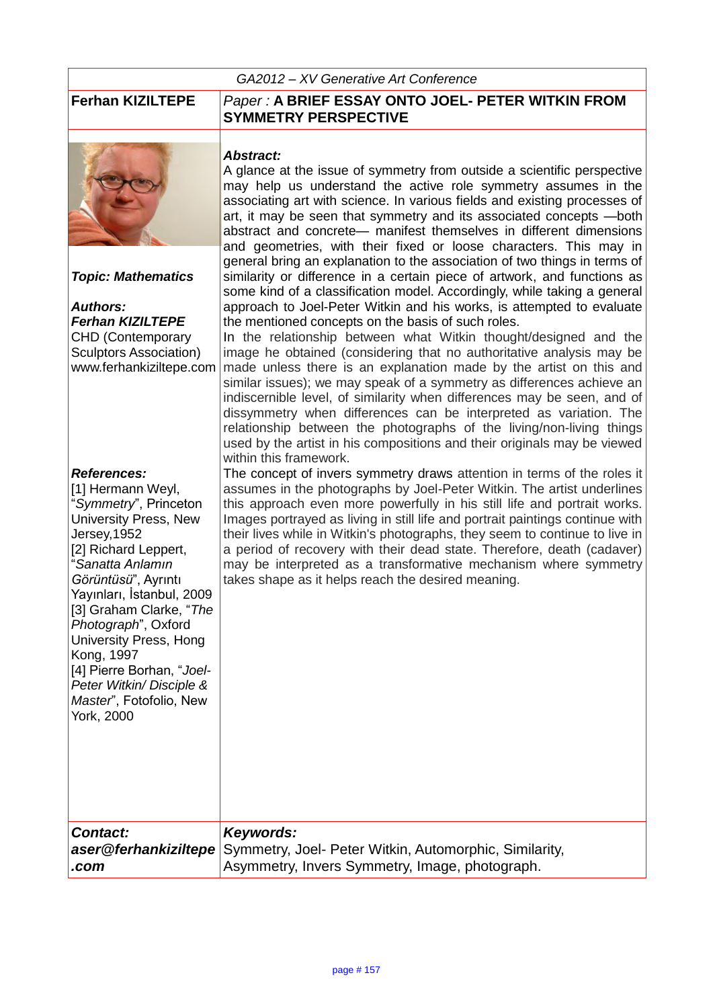#### *GA2012 – XV Generative Art Conference*



*Topic: Mathematics*

## *Authors: Ferhan KIZILTEPE*

CHD (Contemporary Sculptors Association)

### *References:*

[1] Hermann Weyl, "*Symmetry*", Princeton University Press, New Jersey,1952 [2] Richard Leppert, "*Sanatta Anlamın Görüntüsü*", Ayrıntı Yayınları, İstanbul, 2009 [3] Graham Clarke, "*The Photograph*", Oxford University Press, Hong Kong, 1997 [4] Pierre Borhan, "*Joel-Peter Witkin/ Disciple & Master*", Fotofolio, New York, 2000

## **Ferhan KIZILTEPE** *Paper :* **A BRIEF ESSAY ONTO JOEL- PETER WITKIN FROM SYMMETRY PERSPECTIVE**

### *Abstract:*

A glance at the issue of symmetry from outside a scientific perspective may help us understand the active role symmetry assumes in the associating art with science. In various fields and existing processes of art, it may be seen that symmetry and its associated concepts —both abstract and concrete— manifest themselves in different dimensions and geometries, with their fixed or loose characters. This may in general bring an explanation to the association of two things in terms of similarity or difference in a certain piece of artwork, and functions as some kind of a classification model. Accordingly, while taking a general approach to Joel-Peter Witkin and his works, is attempted to evaluate the mentioned concepts on the basis of such roles.

www.ferhankiziltepe.com made unless there is an explanation made by the artist on this and In the relationship between what Witkin thought/designed and the image he obtained (considering that no authoritative analysis may be similar issues); we may speak of a symmetry as differences achieve an indiscernible level, of similarity when differences may be seen, and of dissymmetry when differences can be interpreted as variation. The relationship between the photographs of the living/non-living things used by the artist in his compositions and their originals may be viewed within this framework.

The concept of invers symmetry draws attention in terms of the roles it assumes in the photographs by Joel-Peter Witkin. The artist underlines this approach even more powerfully in his still life and portrait works. Images portrayed as living in still life and portrait paintings continue with their lives while in Witkin's photographs, they seem to continue to live in a period of recovery with their dead state. Therefore, death (cadaver) may be interpreted as a transformative mechanism where symmetry takes shape as it helps reach the desired meaning.

| Contact: | Keywords:                                                                   |
|----------|-----------------------------------------------------------------------------|
|          | aser@ferhankiziltepe Symmetry, Joel- Peter Witkin, Automorphic, Similarity, |
| .com     | Asymmetry, Invers Symmetry, Image, photograph.                              |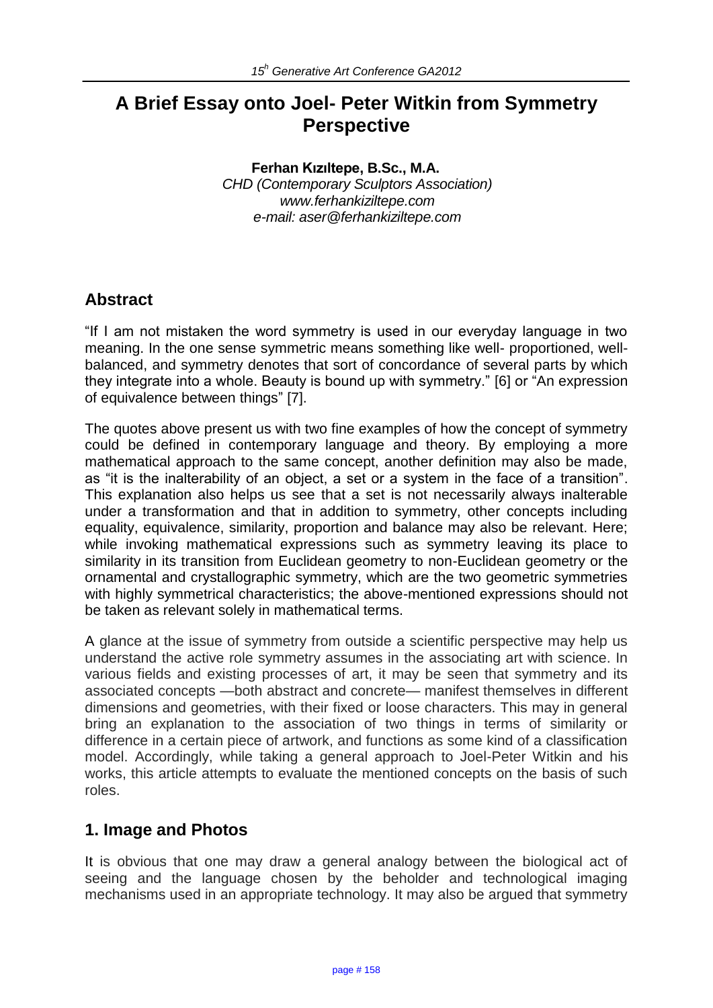# **A Brief Essay onto Joel- Peter Witkin from Symmetry Perspective**

#### **Ferhan Kızıltepe, B.Sc., M.A.**

*CHD (Contemporary Sculptors Association) www.ferhankiziltepe.com e-mail: aser@ferhankiziltepe.com* 

# **Abstract**

"If I am not mistaken the word symmetry is used in our everyday language in two meaning. In the one sense symmetric means something like well- proportioned, wellbalanced, and symmetry denotes that sort of concordance of several parts by which they integrate into a whole. Beauty is bound up with symmetry." [6] or "An expression of equivalence between things" [7].

The quotes above present us with two fine examples of how the concept of symmetry could be defined in contemporary language and theory. By employing a more mathematical approach to the same concept, another definition may also be made, as "it is the inalterability of an object, a set or a system in the face of a transition". This explanation also helps us see that a set is not necessarily always inalterable under a transformation and that in addition to symmetry, other concepts including equality, equivalence, similarity, proportion and balance may also be relevant. Here; while invoking mathematical expressions such as symmetry leaving its place to similarity in its transition from Euclidean geometry to non-Euclidean geometry or the ornamental and crystallographic symmetry, which are the two geometric symmetries with highly symmetrical characteristics; the above-mentioned expressions should not be taken as relevant solely in mathematical terms.

A glance at the issue of symmetry from outside a scientific perspective may help us understand the active role symmetry assumes in the associating art with science. In various fields and existing processes of art, it may be seen that symmetry and its associated concepts —both abstract and concrete— manifest themselves in different dimensions and geometries, with their fixed or loose characters. This may in general bring an explanation to the association of two things in terms of similarity or difference in a certain piece of artwork, and functions as some kind of a classification model. Accordingly, while taking a general approach to Joel-Peter Witkin and his works, this article attempts to evaluate the mentioned concepts on the basis of such roles.

# **1. Image and Photos**

It is obvious that one may draw a general analogy between the biological act of seeing and the language chosen by the beholder and technological imaging mechanisms used in an appropriate technology. It may also be argued that symmetry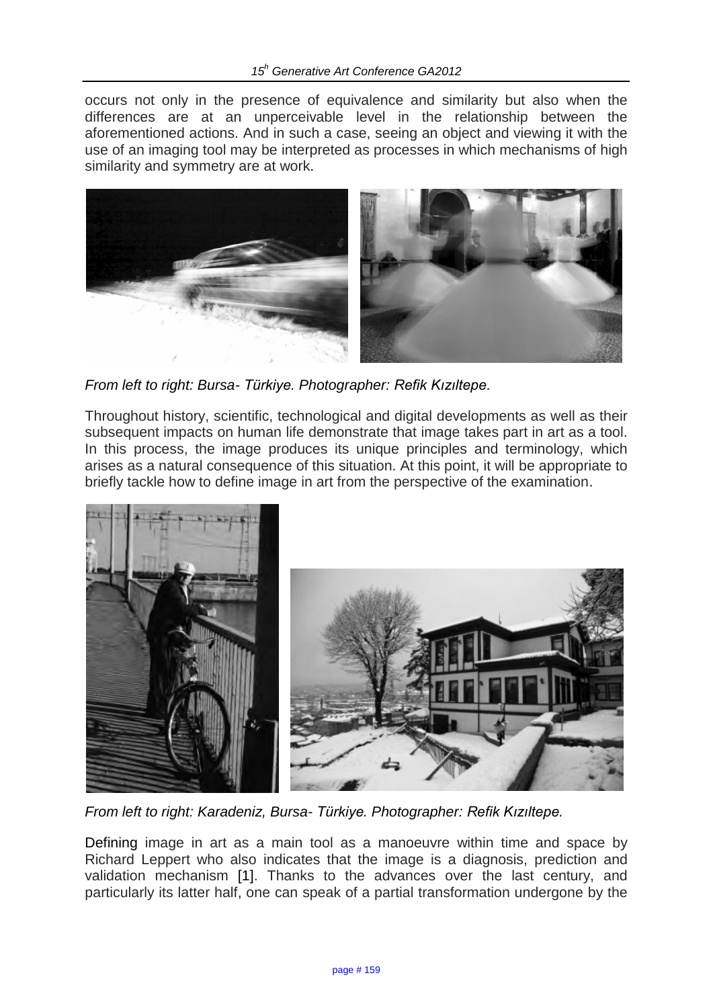occurs not only in the presence of equivalence and similarity but also when the differences are at an unperceivable level in the relationship between the aforementioned actions. And in such a case, seeing an object and viewing it with the use of an imaging tool may be interpreted as processes in which mechanisms of high similarity and symmetry are at work.



*From left to right: Bursa- Türkiye. Photographer: Refik Kızıltepe.*

Throughout history, scientific, technological and digital developments as well as their subsequent impacts on human life demonstrate that image takes part in art as a tool. In this process, the image produces its unique principles and terminology, which arises as a natural consequence of this situation. At this point, it will be appropriate to briefly tackle how to define image in art from the perspective of the examination.



*From left to right: Karadeniz, Bursa- Türkiye. Photographer: Refik Kızıltepe.*

Defining image in art as a main tool as a manoeuvre within time and space by Richard Leppert who also indicates that the image is a diagnosis, prediction and validation mechanism [1]. Thanks to the advances over the last century, and particularly its latter half, one can speak of a partial transformation undergone by the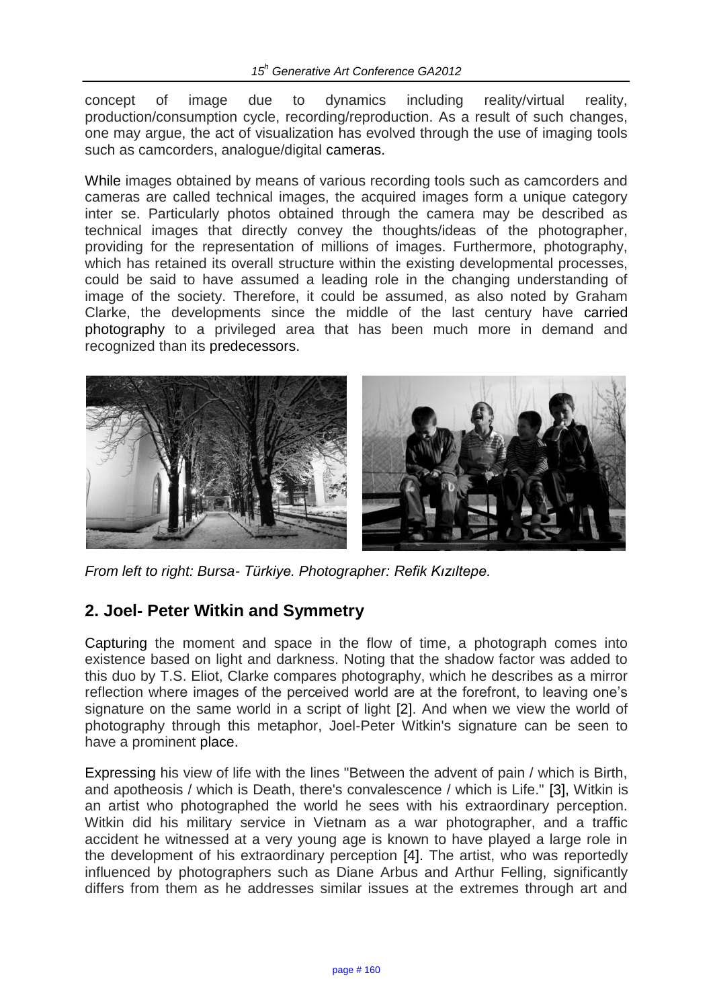concept of image due to dynamics including reality/virtual reality, production/consumption cycle, recording/reproduction. As a result of such changes, one may argue, the act of visualization has evolved through the use of imaging tools such as camcorders, analogue/digital cameras.

While images obtained by means of various recording tools such as camcorders and cameras are called technical images, the acquired images form a unique category inter se. Particularly photos obtained through the camera may be described as technical images that directly convey the thoughts/ideas of the photographer, providing for the representation of millions of images. Furthermore, photography, which has retained its overall structure within the existing developmental processes, could be said to have assumed a leading role in the changing understanding of image of the society. Therefore, it could be assumed, as also noted by Graham Clarke, the developments since the middle of the last century have carried photography to a privileged area that has been much more in demand and recognized than its predecessors.



*From left to right: Bursa- Türkiye. Photographer: Refik Kızıltepe.*

# **2. Joel- Peter Witkin and Symmetry**

Capturing the moment and space in the flow of time, a photograph comes into existence based on light and darkness. Noting that the shadow factor was added to this duo by T.S. Eliot, Clarke compares photography, which he describes as a mirror reflection where images of the perceived world are at the forefront, to leaving one's signature on the same world in a script of light [2]. And when we view the world of photography through this metaphor, Joel-Peter Witkin's signature can be seen to have a prominent place.

Expressing his view of life with the lines "Between the advent of pain / which is Birth, and apotheosis / which is Death, there's convalescence / which is Life." [3], Witkin is an artist who photographed the world he sees with his extraordinary perception. Witkin did his military service in Vietnam as a war photographer, and a traffic accident he witnessed at a very young age is known to have played a large role in the development of his extraordinary perception [4]. The artist, who was reportedly influenced by photographers such as Diane Arbus and Arthur Felling, significantly differs from them as he addresses similar issues at the extremes through art and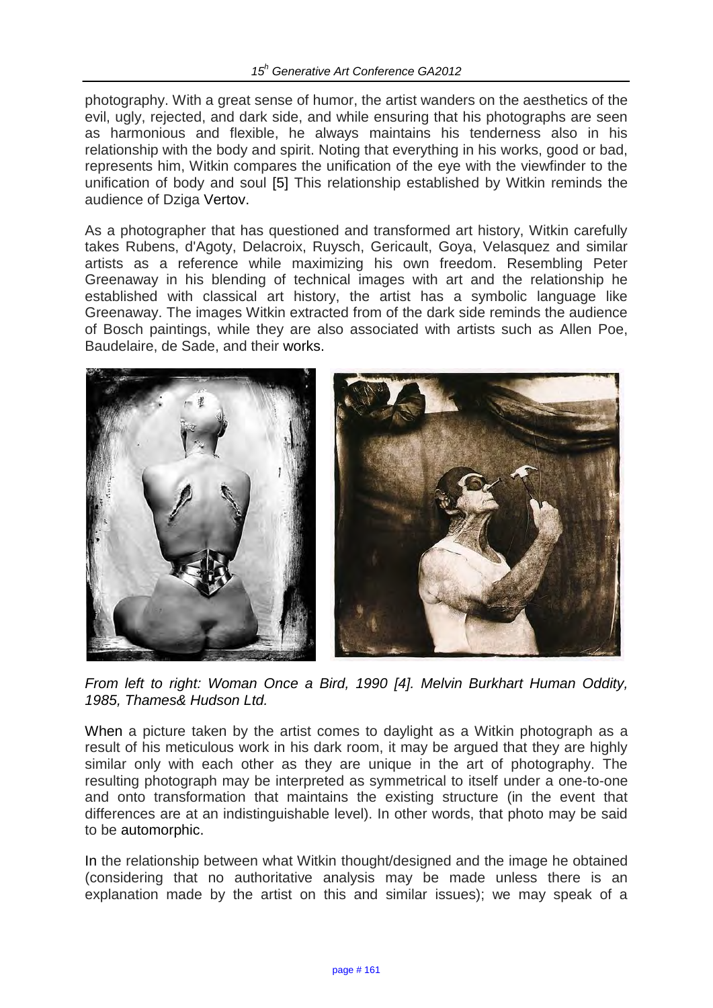photography. With a great sense of humor, the artist wanders on the aesthetics of the evil, ugly, rejected, and dark side, and while ensuring that his photographs are seen as harmonious and flexible, he always maintains his tenderness also in his relationship with the body and spirit. Noting that everything in his works, good or bad, represents him, Witkin compares the unification of the eye with the viewfinder to the unification of body and soul [5] This relationship established by Witkin reminds the audience of Dziga Vertov.

As a photographer that has questioned and transformed art history, Witkin carefully takes Rubens, d'Agoty, Delacroix, Ruysch, Gericault, Goya, Velasquez and similar artists as a reference while maximizing his own freedom. Resembling Peter Greenaway in his blending of technical images with art and the relationship he established with classical art history, the artist has a symbolic language like Greenaway. The images Witkin extracted from of the dark side reminds the audience of Bosch paintings, while they are also associated with artists such as Allen Poe, Baudelaire, de Sade, and their works.



*From left to right: Woman Once a Bird, 1990 [4]. Melvin Burkhart Human Oddity, 1985, Thames& Hudson Ltd.* 

When a picture taken by the artist comes to daylight as a Witkin photograph as a result of his meticulous work in his dark room, it may be argued that they are highly similar only with each other as they are unique in the art of photography. The resulting photograph may be interpreted as symmetrical to itself under a one-to-one and onto transformation that maintains the existing structure (in the event that differences are at an indistinguishable level). In other words, that photo may be said to be automorphic.

In the relationship between what Witkin thought/designed and the image he obtained (considering that no authoritative analysis may be made unless there is an explanation made by the artist on this and similar issues); we may speak of a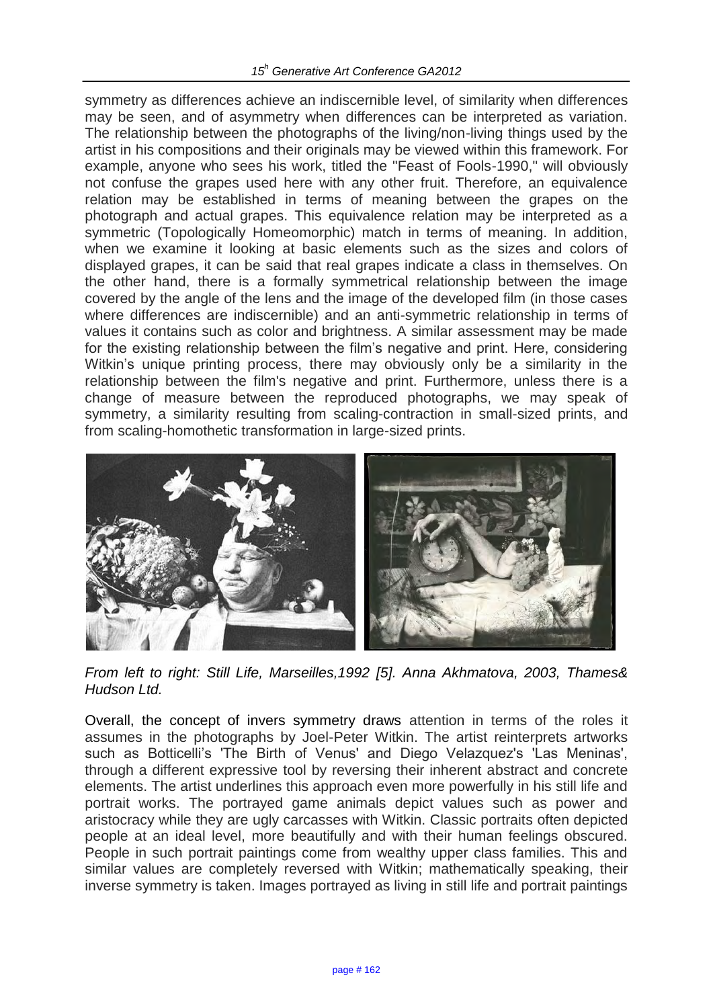symmetry as differences achieve an indiscernible level, of similarity when differences may be seen, and of asymmetry when differences can be interpreted as variation. The relationship between the photographs of the living/non-living things used by the artist in his compositions and their originals may be viewed within this framework. For example, anyone who sees his work, titled the "Feast of Fools-1990," will obviously not confuse the grapes used here with any other fruit. Therefore, an equivalence relation may be established in terms of meaning between the grapes on the photograph and actual grapes. This equivalence relation may be interpreted as a symmetric (Topologically Homeomorphic) match in terms of meaning. In addition, when we examine it looking at basic elements such as the sizes and colors of displayed grapes, it can be said that real grapes indicate a class in themselves. On the other hand, there is a formally symmetrical relationship between the image covered by the angle of the lens and the image of the developed film (in those cases where differences are indiscernible) and an anti-symmetric relationship in terms of values it contains such as color and brightness. A similar assessment may be made for the existing relationship between the film's negative and print. Here, considering Witkin's unique printing process, there may obviously only be a similarity in the relationship between the film's negative and print. Furthermore, unless there is a change of measure between the reproduced photographs, we may speak of symmetry, a similarity resulting from scaling-contraction in small-sized prints, and from scaling-homothetic transformation in large-sized prints.



*From left to right: Still Life, Marseilles,1992 [5]. Anna Akhmatova, 2003, Thames& Hudson Ltd.*

Overall, the concept of invers symmetry draws attention in terms of the roles it assumes in the photographs by Joel-Peter Witkin. The artist reinterprets artworks such as Botticelli's 'The Birth of Venus' and Diego Velazquez's 'Las Meninas', through a different expressive tool by reversing their inherent abstract and concrete elements. The artist underlines this approach even more powerfully in his still life and portrait works. The portrayed game animals depict values such as power and aristocracy while they are ugly carcasses with Witkin. Classic portraits often depicted people at an ideal level, more beautifully and with their human feelings obscured. People in such portrait paintings come from wealthy upper class families. This and similar values are completely reversed with Witkin; mathematically speaking, their inverse symmetry is taken. Images portrayed as living in still life and portrait paintings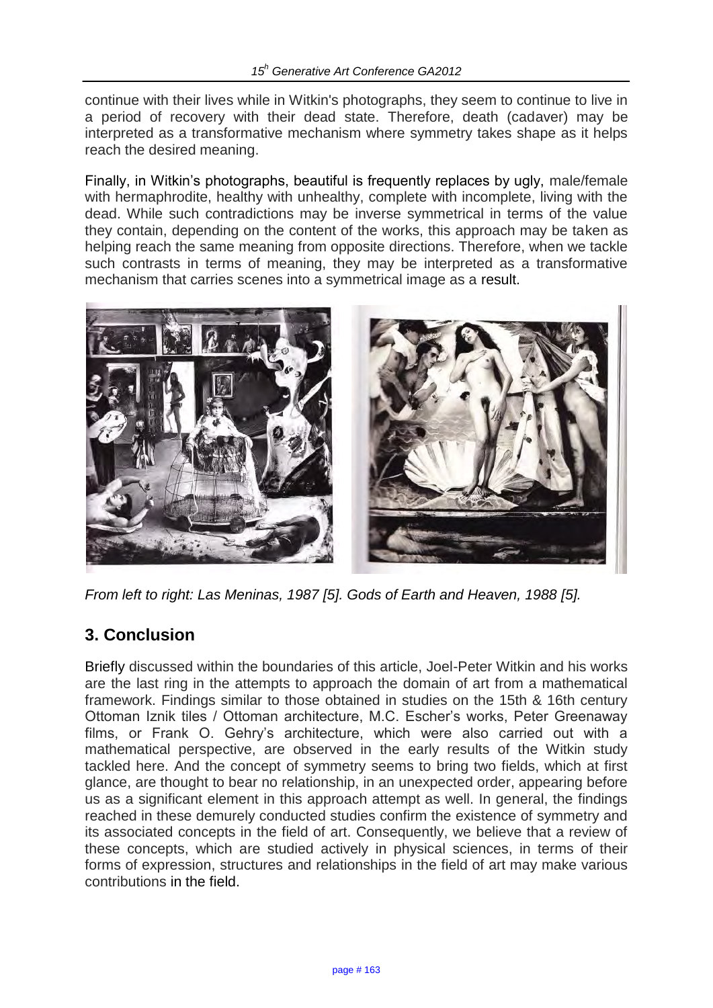continue with their lives while in Witkin's photographs, they seem to continue to live in a period of recovery with their dead state. Therefore, death (cadaver) may be interpreted as a transformative mechanism where symmetry takes shape as it helps reach the desired meaning.

Finally, in Witkin's photographs, beautiful is frequently replaces by ugly, male/female with hermaphrodite, healthy with unhealthy, complete with incomplete, living with the dead. While such contradictions may be inverse symmetrical in terms of the value they contain, depending on the content of the works, this approach may be taken as helping reach the same meaning from opposite directions. Therefore, when we tackle such contrasts in terms of meaning, they may be interpreted as a transformative mechanism that carries scenes into a symmetrical image as a result.



*From left to right: Las Meninas, 1987 [5]. Gods of Earth and Heaven, 1988 [5].*

# **3. Conclusion**

Briefly discussed within the boundaries of this article, Joel-Peter Witkin and his works are the last ring in the attempts to approach the domain of art from a mathematical framework. Findings similar to those obtained in studies on the 15th & 16th century Ottoman Iznik tiles / Ottoman architecture, M.C. Escher's works, Peter Greenaway films, or Frank O. Gehry's architecture, which were also carried out with a mathematical perspective, are observed in the early results of the Witkin study tackled here. And the concept of symmetry seems to bring two fields, which at first glance, are thought to bear no relationship, in an unexpected order, appearing before us as a significant element in this approach attempt as well. In general, the findings reached in these demurely conducted studies confirm the existence of symmetry and its associated concepts in the field of art. Consequently, we believe that a review of these concepts, which are studied actively in physical sciences, in terms of their forms of expression, structures and relationships in the field of art may make various contributions in the field.